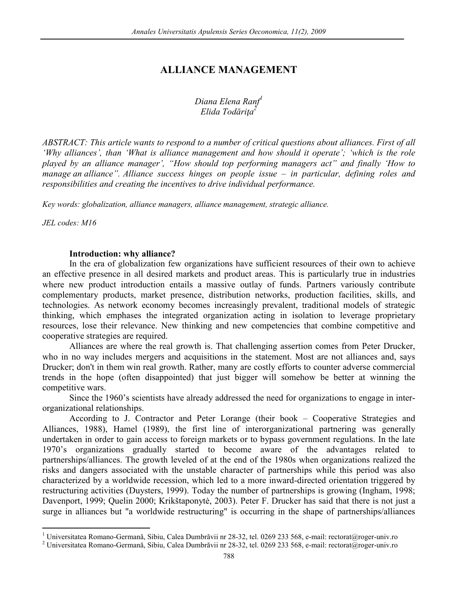# **ALLIANCE MANAGEMENT**

*Diana Elena Ranf<sup>1</sup> Elida Todăriţa<sup>2</sup>*

*ABSTRACT: This article wants to respond to a number of critical questions about alliances. First of all 'Why alliances', than 'What is alliance management and how should it operate'; 'which is the role played by an alliance manager', "How should top performing managers act" and finally 'How to manage an alliance". Alliance success hinges on people issue – in particular, defining roles and responsibilities and creating the incentives to drive individual performance.* 

*Key words: globalization, alliance managers, alliance management, strategic alliance.* 

*JEL codes: M16* 

 $\overline{a}$ 

#### **Introduction: why alliance?**

In the era of globalization few organizations have sufficient resources of their own to achieve an effective presence in all desired markets and product areas. This is particularly true in industries where new product introduction entails a massive outlay of funds. Partners variously contribute complementary products, market presence, distribution networks, production facilities, skills, and technologies. As network economy becomes increasingly prevalent, traditional models of strategic thinking, which emphases the integrated organization acting in isolation to leverage proprietary resources, lose their relevance. New thinking and new competencies that combine competitive and cooperative strategies are required.

Alliances are where the real growth is. That challenging assertion comes from Peter Drucker, who in no way includes mergers and acquisitions in the statement. Most are not alliances and, says Drucker; don't in them win real growth. Rather, many are costly efforts to counter adverse commercial trends in the hope (often disappointed) that just bigger will somehow be better at winning the competitive wars.

Since the 1960's scientists have already addressed the need for organizations to engage in interorganizational relationships.

According to J. Contractor and Peter Lorange (their book – Cooperative Strategies and Alliances, 1988), Hamel (1989), the first line of interorganizational partnering was generally undertaken in order to gain access to foreign markets or to bypass government regulations. In the late 1970's organizations gradually started to become aware of the advantages related to partnerships/alliances. The growth leveled of at the end of the 1980s when organizations realized the risks and dangers associated with the unstable character of partnerships while this period was also characterized by a worldwide recession, which led to a more inward-directed orientation triggered by restructuring activities (Duysters, 1999). Today the number of partnerships is growing (Ingham, 1998; Davenport, 1999; Quelin 2000; Krikštaponytė, 2003). Peter F. Drucker has said that there is not just a surge in alliances but "a worldwide restructuring" is occurring in the shape of partnerships/alliances

<sup>&</sup>lt;sup>1</sup> Universitatea Romano-Germană, Sibiu, Calea Dumbrăvii nr 28-32, tel. 0269 233 568, e-mail: rectorat@roger-univ.ro

<sup>&</sup>lt;sup>2</sup> Universitatea Romano-Germană, Sibiu, Calea Dumbrăvii nr 28-32, tel. 0269 233 568, e-mail: rectorat@roger-univ.ro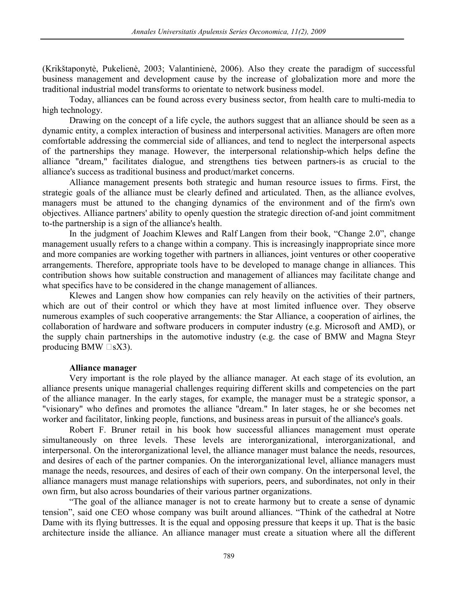(Krikštaponytė, Pukelienė, 2003; Valantinienė, 2006). Also they create the paradigm of successful business management and development cause by the increase of globalization more and more the traditional industrial model transforms to orientate to network business model.

Today, alliances can be found across every business sector, from health care to multi-media to high technology.

Drawing on the concept of a life cycle, the authors suggest that an alliance should be seen as a dynamic entity, a complex interaction of business and interpersonal activities. Managers are often more comfortable addressing the commercial side of alliances, and tend to neglect the interpersonal aspects of the partnerships they manage. However, the interpersonal relationship-which helps define the alliance "dream," facilitates dialogue, and strengthens ties between partners-is as crucial to the alliance's success as traditional business and product/market concerns.

Alliance management presents both strategic and human resource issues to firms. First, the strategic goals of the alliance must be clearly defined and articulated. Then, as the alliance evolves, managers must be attuned to the changing dynamics of the environment and of the firm's own objectives. Alliance partners' ability to openly question the strategic direction of-and joint commitment to-the partnership is a sign of the alliance's health.

In the judgment of Joachim Klewes and Ralf Langen from their book, "Change 2.0", change management usually refers to a change within a company. This is increasingly inappropriate since more and more companies are working together with partners in alliances, joint ventures or other cooperative arrangements. Therefore, appropriate tools have to be developed to manage change in alliances. This contribution shows how suitable construction and management of alliances may facilitate change and what specifics have to be considered in the change management of alliances.

Klewes and Langen show how companies can rely heavily on the activities of their partners, which are out of their control or which they have at most limited influence over. They observe numerous examples of such cooperative arrangements: the Star Alliance, a cooperation of airlines, the collaboration of hardware and software producers in computer industry (e.g. Microsoft and AMD), or the supply chain partnerships in the automotive industry (e.g. the case of BMW and Magna Steyr producing BMW  $\square$ sX3).

## **Alliance manager**

Very important is the role played by the alliance manager. At each stage of its evolution, an alliance presents unique managerial challenges requiring different skills and competencies on the part of the alliance manager. In the early stages, for example, the manager must be a strategic sponsor, a "visionary" who defines and promotes the alliance "dream." In later stages, he or she becomes net worker and facilitator, linking people, functions, and business areas in pursuit of the alliance's goals.

Robert F. Bruner retail in his book how successful alliances management must operate simultaneously on three levels. These levels are interorganizational, interorganizational, and interpersonal. On the interorganizational level, the alliance manager must balance the needs, resources, and desires of each of the partner companies. On the interorganizational level, alliance managers must manage the needs, resources, and desires of each of their own company. On the interpersonal level, the alliance managers must manage relationships with superiors, peers, and subordinates, not only in their own firm, but also across boundaries of their various partner organizations.

"The goal of the alliance manager is not to create harmony but to create a sense of dynamic tension", said one CEO whose company was built around alliances. "Think of the cathedral at Notre Dame with its flying buttresses. It is the equal and opposing pressure that keeps it up. That is the basic architecture inside the alliance. An alliance manager must create a situation where all the different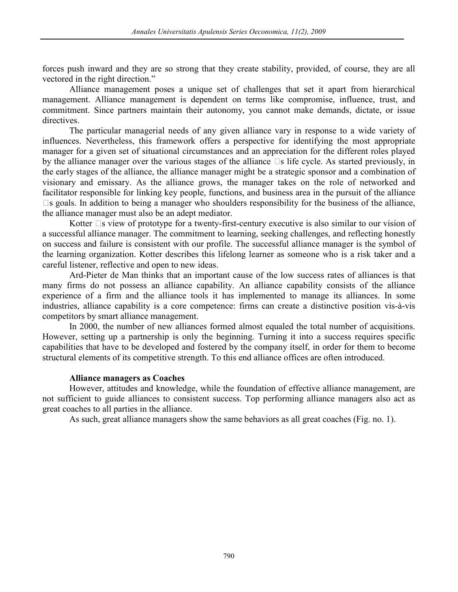forces push inward and they are so strong that they create stability, provided, of course, they are all vectored in the right direction."

Alliance management poses a unique set of challenges that set it apart from hierarchical management. Alliance management is dependent on terms like compromise, influence, trust, and commitment. Since partners maintain their autonomy, you cannot make demands, dictate, or issue directives.

The particular managerial needs of any given alliance vary in response to a wide variety of influences. Nevertheless, this framework offers a perspective for identifying the most appropriate manager for a given set of situational circumstances and an appreciation for the different roles played by the alliance manager over the various stages of the alliance  $\Box s$  life cycle. As started previously, in the early stages of the alliance, the alliance manager might be a strategic sponsor and a combination of visionary and emissary. As the alliance grows, the manager takes on the role of networked and facilitator responsible for linking key people, functions, and business area in the pursuit of the alliance  $\square$ s goals. In addition to being a manager who shoulders responsibility for the business of the alliance, the alliance manager must also be an adept mediator.

Kotter  $\Box$ s view of prototype for a twenty-first-century executive is also similar to our vision of a successful alliance manager. The commitment to learning, seeking challenges, and reflecting honestly on success and failure is consistent with our profile. The successful alliance manager is the symbol of the learning organization. Kotter describes this lifelong learner as someone who is a risk taker and a careful listener, reflective and open to new ideas.

Ard-Pieter de Man thinks that an important cause of the low success rates of alliances is that many firms do not possess an alliance capability. An alliance capability consists of the alliance experience of a firm and the alliance tools it has implemented to manage its alliances. In some industries, alliance capability is a core competence: firms can create a distinctive position vis-à-vis competitors by smart alliance management.

In 2000, the number of new alliances formed almost equaled the total number of acquisitions. However, setting up a partnership is only the beginning. Turning it into a success requires specific capabilities that have to be developed and fostered by the company itself, in order for them to become structural elements of its competitive strength. To this end alliance offices are often introduced.

#### **Alliance managers as Coaches**

However, attitudes and knowledge, while the foundation of effective alliance management, are not sufficient to guide alliances to consistent success. Top performing alliance managers also act as great coaches to all parties in the alliance.

As such, great alliance managers show the same behaviors as all great coaches (Fig. no. 1).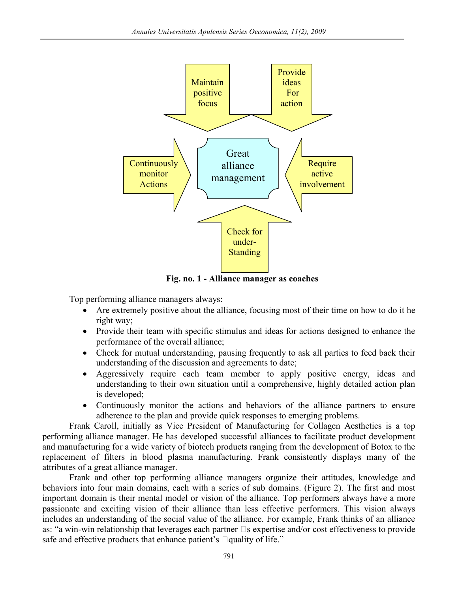

**Fig. no. 1 - Alliance manager as coaches** 

Top performing alliance managers always:

- Are extremely positive about the alliance, focusing most of their time on how to do it he right way;
- Provide their team with specific stimulus and ideas for actions designed to enhance the performance of the overall alliance;
- Check for mutual understanding, pausing frequently to ask all parties to feed back their understanding of the discussion and agreements to date;
- Aggressively require each team member to apply positive energy, ideas and understanding to their own situation until a comprehensive, highly detailed action plan is developed;
- Continuously monitor the actions and behaviors of the alliance partners to ensure adherence to the plan and provide quick responses to emerging problems.

Frank Caroll, initially as Vice President of Manufacturing for Collagen Aesthetics is a top performing alliance manager. He has developed successful alliances to facilitate product development and manufacturing for a wide variety of biotech products ranging from the development of Botox to the replacement of filters in blood plasma manufacturing. Frank consistently displays many of the attributes of a great alliance manager.

Frank and other top performing alliance managers organize their attitudes, knowledge and behaviors into four main domains, each with a series of sub domains. (Figure 2). The first and most important domain is their mental model or vision of the alliance. Top performers always have a more passionate and exciting vision of their alliance than less effective performers. This vision always includes an understanding of the social value of the alliance. For example, Frank thinks of an alliance as: "a win-win relationship that leverages each partner  $\Box$ s expertise and/or cost effectiveness to provide safe and effective products that enhance patient's  $\Box$  quality of life."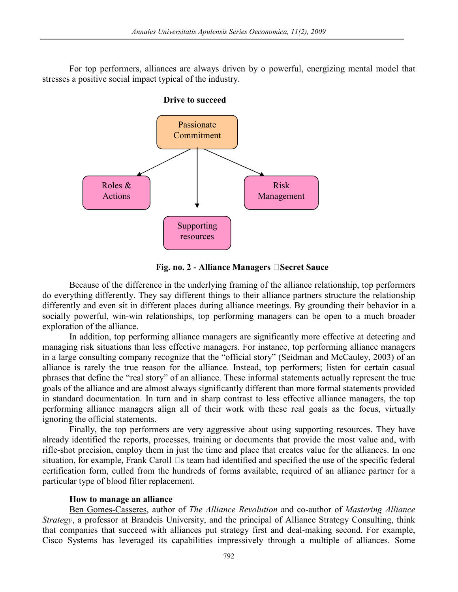For top performers, alliances are always driven by o powerful, energizing mental model that stresses a positive social impact typical of the industry.



**Fig. no. 2 - Alliance Managers %Secret Sauce** 

Because of the difference in the underlying framing of the alliance relationship, top performers do everything differently. They say different things to their alliance partners structure the relationship differently and even sit in different places during alliance meetings. By grounding their behavior in a socially powerful, win-win relationships, top performing managers can be open to a much broader exploration of the alliance.

In addition, top performing alliance managers are significantly more effective at detecting and managing risk situations than less effective managers. For instance, top performing alliance managers in a large consulting company recognize that the "official story" (Seidman and McCauley, 2003) of an alliance is rarely the true reason for the alliance. Instead, top performers; listen for certain casual phrases that define the "real story" of an alliance. These informal statements actually represent the true goals of the alliance and are almost always significantly different than more formal statements provided in standard documentation. In turn and in sharp contrast to less effective alliance managers, the top performing alliance managers align all of their work with these real goals as the focus, virtually ignoring the official statements.

Finally, the top performers are very aggressive about using supporting resources. They have already identified the reports, processes, training or documents that provide the most value and, with rifle-shot precision, employ them in just the time and place that creates value for the alliances. In one situation, for example, Frank Caroll  $\Box$  steam had identified and specified the use of the specific federal certification form, culled from the hundreds of forms available, required of an alliance partner for a particular type of blood filter replacement.

## **How to manage an alliance**

Ben Gomes-Casseres, author of *The Alliance Revolution* and co-author of *Mastering Alliance Strategy*, a professor at Brandeis University, and the principal of Alliance Strategy Consulting, think that companies that succeed with alliances put strategy first and deal-making second. For example, Cisco Systems has leveraged its capabilities impressively through a multiple of alliances. Some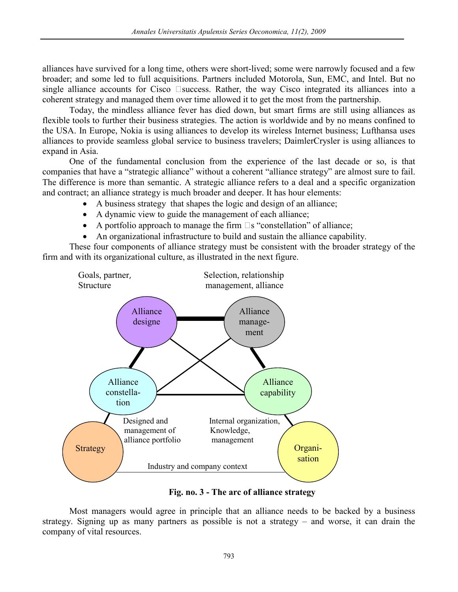alliances have survived for a long time, others were short-lived; some were narrowly focused and a few broader; and some led to full acquisitions. Partners included Motorola, Sun, EMC, and Intel. But no single alliance accounts for Cisco  $\square$  success. Rather, the way Cisco integrated its alliances into a coherent strategy and managed them over time allowed it to get the most from the partnership.

Today, the mindless alliance fever has died down, but smart firms are still using alliances as flexible tools to further their business strategies. The action is worldwide and by no means confined to the USA. In Europe, Nokia is using alliances to develop its wireless Internet business; Lufthansa uses alliances to provide seamless global service to business travelers; DaimlerCrysler is using alliances to expand in Asia.

One of the fundamental conclusion from the experience of the last decade or so, is that companies that have a "strategic alliance" without a coherent "alliance strategy" are almost sure to fail. The difference is more than semantic. A strategic alliance refers to a deal and a specific organization and contract; an alliance strategy is much broader and deeper. It has hour elements:

- A business strategy that shapes the logic and design of an alliance;
- A dynamic view to guide the management of each alliance;
- A portfolio approach to manage the firm  $\square$  s "constellation" of alliance;
- An organizational infrastructure to build and sustain the alliance capability.

These four components of alliance strategy must be consistent with the broader strategy of the firm and with its organizational culture, as illustrated in the next figure.



**Fig. no. 3 - The arc of alliance strategy** 

Most managers would agree in principle that an alliance needs to be backed by a business strategy. Signing up as many partners as possible is not a strategy – and worse, it can drain the company of vital resources.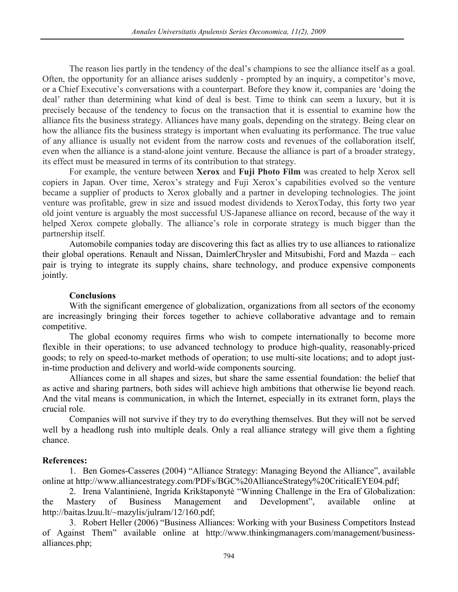The reason lies partly in the tendency of the deal's champions to see the alliance itself as a goal. Often, the opportunity for an alliance arises suddenly - prompted by an inquiry, a competitor's move, or a Chief Executive's conversations with a counterpart. Before they know it, companies are 'doing the deal' rather than determining what kind of deal is best. Time to think can seem a luxury, but it is precisely because of the tendency to focus on the transaction that it is essential to examine how the alliance fits the business strategy. Alliances have many goals, depending on the strategy. Being clear on how the alliance fits the business strategy is important when evaluating its performance. The true value of any alliance is usually not evident from the narrow costs and revenues of the collaboration itself, even when the alliance is a stand-alone joint venture. Because the alliance is part of a broader strategy, its effect must be measured in terms of its contribution to that strategy.

For example, the venture between **Xerox** and **Fuji Photo Film** was created to help Xerox sell copiers in Japan. Over time, Xerox's strategy and Fuji Xerox's capabilities evolved so the venture became a supplier of products to Xerox globally and a partner in developing technologies. The joint venture was profitable, grew in size and issued modest dividends to XeroxToday, this forty two year old joint venture is arguably the most successful US-Japanese alliance on record, because of the way it helped Xerox compete globally. The alliance's role in corporate strategy is much bigger than the partnership itself.

Automobile companies today are discovering this fact as allies try to use alliances to rationalize their global operations. Renault and Nissan, DaimlerChrysler and Mitsubishi, Ford and Mazda – each pair is trying to integrate its supply chains, share technology, and produce expensive components jointly.

## **Conclusions**

With the significant emergence of globalization, organizations from all sectors of the economy are increasingly bringing their forces together to achieve collaborative advantage and to remain competitive.

The global economy requires firms who wish to compete internationally to become more flexible in their operations; to use advanced technology to produce high-quality, reasonably-priced goods; to rely on speed-to-market methods of operation; to use multi-site locations; and to adopt justin-time production and delivery and world-wide components sourcing.

Alliances come in all shapes and sizes, but share the same essential foundation: the belief that as active and sharing partners, both sides will achieve high ambitions that otherwise lie beyond reach. And the vital means is communication, in which the Internet, especially in its extranet form, plays the crucial role.

Companies will not survive if they try to do everything themselves. But they will not be served well by a headlong rush into multiple deals. Only a real alliance strategy will give them a fighting chance.

## **References:**

1. Ben Gomes-Casseres (2004) "Alliance Strategy: Managing Beyond the Alliance", available online at http://www.alliancestrategy.com/PDFs/BGC%20AllianceStrategy%20CriticalEYE04.pdf;

2. Irena Valantinienė, Ingrida Krikštaponytė "Winning Challenge in the Era of Globalization: the Mastery of Business Management and Development", available online at http://baitas.lzuu.lt/~mazylis/julram/12/160.pdf;

3. Robert Heller (2006) "Business Alliances: Working with your Business Competitors Instead of Against Them" available online at http://www.thinkingmanagers.com/management/businessalliances.php;